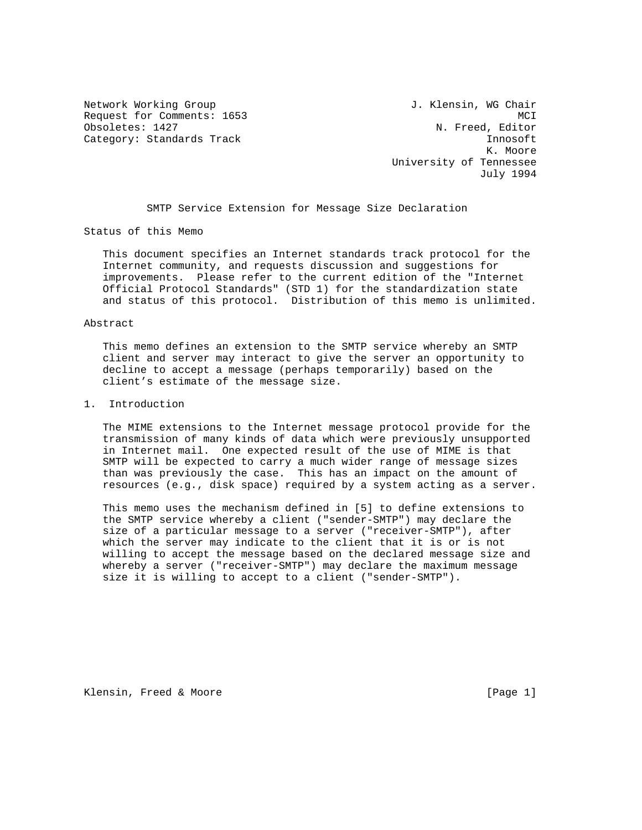Network Working Group 30 and 1. Klensin, WG Chair Request for Comments: 1653 MCI<br>
Obsoletes: 1427 MCI Category: Standards Track Innosoft Innosoft

N. Freed, Editor K. Moore University of Tennessee July 1994

SMTP Service Extension for Message Size Declaration

Status of this Memo

 This document specifies an Internet standards track protocol for the Internet community, and requests discussion and suggestions for improvements. Please refer to the current edition of the "Internet Official Protocol Standards" (STD 1) for the standardization state and status of this protocol. Distribution of this memo is unlimited.

## Abstract

 This memo defines an extension to the SMTP service whereby an SMTP client and server may interact to give the server an opportunity to decline to accept a message (perhaps temporarily) based on the client's estimate of the message size.

## 1. Introduction

 The MIME extensions to the Internet message protocol provide for the transmission of many kinds of data which were previously unsupported in Internet mail. One expected result of the use of MIME is that SMTP will be expected to carry a much wider range of message sizes than was previously the case. This has an impact on the amount of resources (e.g., disk space) required by a system acting as a server.

 This memo uses the mechanism defined in [5] to define extensions to the SMTP service whereby a client ("sender-SMTP") may declare the size of a particular message to a server ("receiver-SMTP"), after which the server may indicate to the client that it is or is not willing to accept the message based on the declared message size and whereby a server ("receiver-SMTP") may declare the maximum message size it is willing to accept to a client ("sender-SMTP").

Klensin, Freed & Moore [Page 1]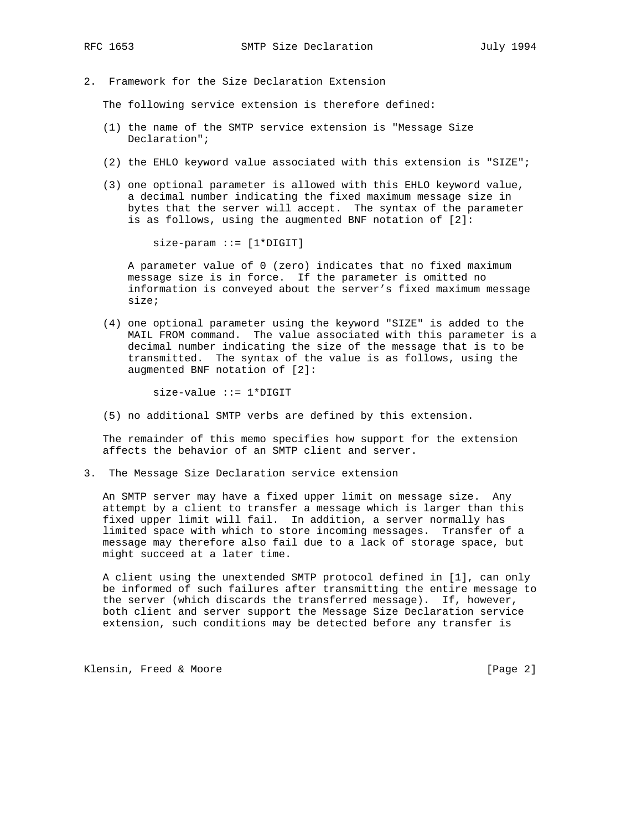- 
- 2. Framework for the Size Declaration Extension

The following service extension is therefore defined:

- (1) the name of the SMTP service extension is "Message Size Declaration";
- (2) the EHLO keyword value associated with this extension is "SIZE";
- (3) one optional parameter is allowed with this EHLO keyword value, a decimal number indicating the fixed maximum message size in bytes that the server will accept. The syntax of the parameter is as follows, using the augmented BNF notation of [2]:

 $size$ -param  $::=[1 * DIGIT]$ 

 A parameter value of 0 (zero) indicates that no fixed maximum message size is in force. If the parameter is omitted no information is conveyed about the server's fixed maximum message size;

 (4) one optional parameter using the keyword "SIZE" is added to the MAIL FROM command. The value associated with this parameter is a decimal number indicating the size of the message that is to be transmitted. The syntax of the value is as follows, using the augmented BNF notation of [2]:

size-value ::= 1\*DIGIT

(5) no additional SMTP verbs are defined by this extension.

 The remainder of this memo specifies how support for the extension affects the behavior of an SMTP client and server.

3. The Message Size Declaration service extension

 An SMTP server may have a fixed upper limit on message size. Any attempt by a client to transfer a message which is larger than this fixed upper limit will fail. In addition, a server normally has limited space with which to store incoming messages. Transfer of a message may therefore also fail due to a lack of storage space, but might succeed at a later time.

 A client using the unextended SMTP protocol defined in [1], can only be informed of such failures after transmitting the entire message to the server (which discards the transferred message). If, however, both client and server support the Message Size Declaration service extension, such conditions may be detected before any transfer is

Klensin, Freed & Moore [Page 2]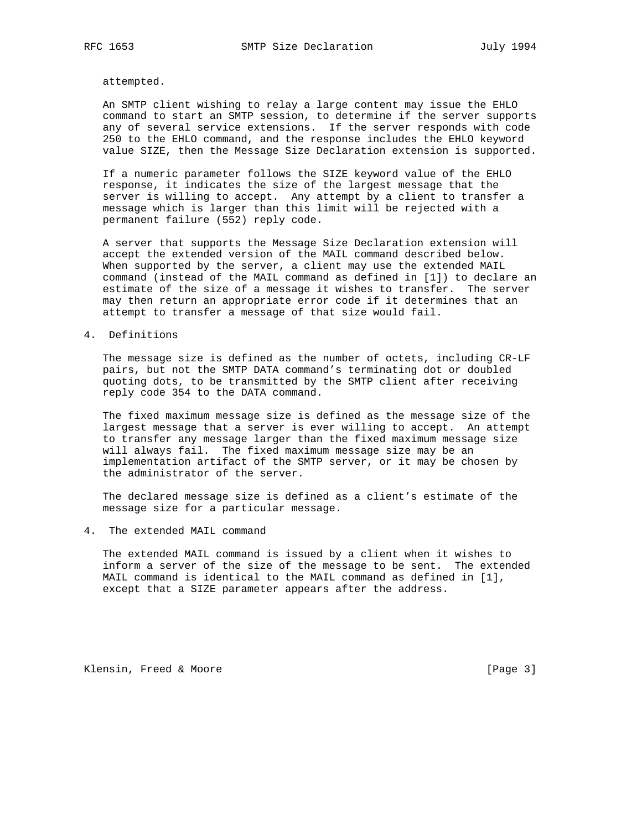attempted.

 An SMTP client wishing to relay a large content may issue the EHLO command to start an SMTP session, to determine if the server supports any of several service extensions. If the server responds with code 250 to the EHLO command, and the response includes the EHLO keyword value SIZE, then the Message Size Declaration extension is supported.

 If a numeric parameter follows the SIZE keyword value of the EHLO response, it indicates the size of the largest message that the server is willing to accept. Any attempt by a client to transfer a message which is larger than this limit will be rejected with a permanent failure (552) reply code.

 A server that supports the Message Size Declaration extension will accept the extended version of the MAIL command described below. When supported by the server, a client may use the extended MAIL command (instead of the MAIL command as defined in [1]) to declare an estimate of the size of a message it wishes to transfer. The server may then return an appropriate error code if it determines that an attempt to transfer a message of that size would fail.

## 4. Definitions

 The message size is defined as the number of octets, including CR-LF pairs, but not the SMTP DATA command's terminating dot or doubled quoting dots, to be transmitted by the SMTP client after receiving reply code 354 to the DATA command.

 The fixed maximum message size is defined as the message size of the largest message that a server is ever willing to accept. An attempt to transfer any message larger than the fixed maximum message size will always fail. The fixed maximum message size may be an implementation artifact of the SMTP server, or it may be chosen by the administrator of the server.

 The declared message size is defined as a client's estimate of the message size for a particular message.

4. The extended MAIL command

 The extended MAIL command is issued by a client when it wishes to inform a server of the size of the message to be sent. The extended MAIL command is identical to the MAIL command as defined in [1], except that a SIZE parameter appears after the address.

Klensin, Freed & Moore [Page 3]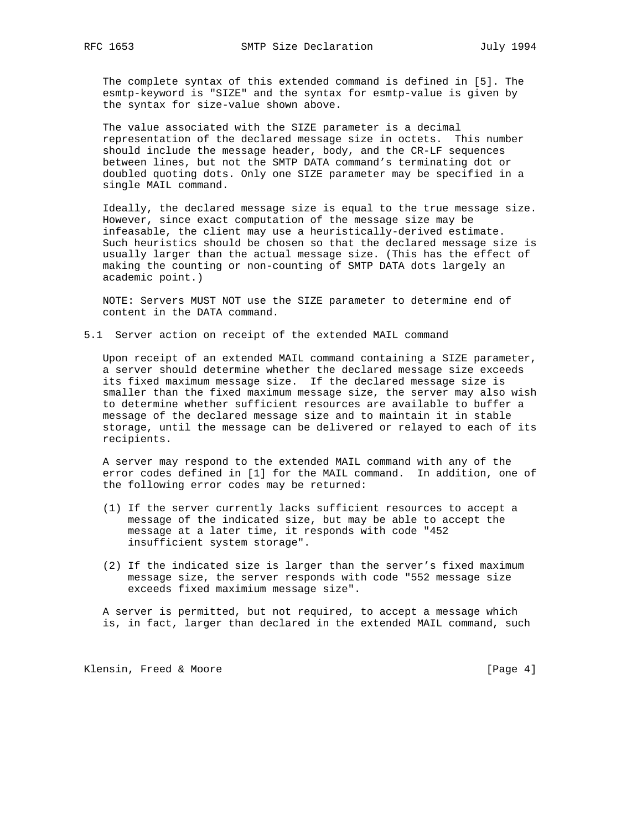The complete syntax of this extended command is defined in [5]. The esmtp-keyword is "SIZE" and the syntax for esmtp-value is given by the syntax for size-value shown above.

 The value associated with the SIZE parameter is a decimal representation of the declared message size in octets. This number should include the message header, body, and the CR-LF sequences between lines, but not the SMTP DATA command's terminating dot or doubled quoting dots. Only one SIZE parameter may be specified in a single MAIL command.

 Ideally, the declared message size is equal to the true message size. However, since exact computation of the message size may be infeasable, the client may use a heuristically-derived estimate. Such heuristics should be chosen so that the declared message size is usually larger than the actual message size. (This has the effect of making the counting or non-counting of SMTP DATA dots largely an academic point.)

 NOTE: Servers MUST NOT use the SIZE parameter to determine end of content in the DATA command.

5.1 Server action on receipt of the extended MAIL command

 Upon receipt of an extended MAIL command containing a SIZE parameter, a server should determine whether the declared message size exceeds its fixed maximum message size. If the declared message size is smaller than the fixed maximum message size, the server may also wish to determine whether sufficient resources are available to buffer a message of the declared message size and to maintain it in stable storage, until the message can be delivered or relayed to each of its recipients.

 A server may respond to the extended MAIL command with any of the error codes defined in [1] for the MAIL command. In addition, one of the following error codes may be returned:

- (1) If the server currently lacks sufficient resources to accept a message of the indicated size, but may be able to accept the message at a later time, it responds with code "452 insufficient system storage".
- (2) If the indicated size is larger than the server's fixed maximum message size, the server responds with code "552 message size exceeds fixed maximium message size".

 A server is permitted, but not required, to accept a message which is, in fact, larger than declared in the extended MAIL command, such

Klensin, Freed & Moore [Page 4]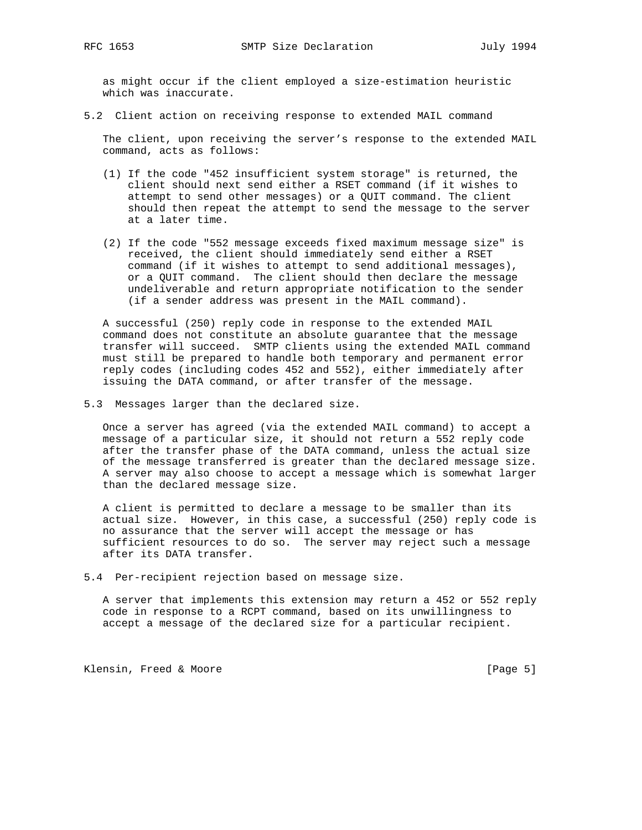as might occur if the client employed a size-estimation heuristic which was inaccurate.

5.2 Client action on receiving response to extended MAIL command

 The client, upon receiving the server's response to the extended MAIL command, acts as follows:

- (1) If the code "452 insufficient system storage" is returned, the client should next send either a RSET command (if it wishes to attempt to send other messages) or a QUIT command. The client should then repeat the attempt to send the message to the server at a later time.
- (2) If the code "552 message exceeds fixed maximum message size" is received, the client should immediately send either a RSET command (if it wishes to attempt to send additional messages), or a QUIT command. The client should then declare the message undeliverable and return appropriate notification to the sender (if a sender address was present in the MAIL command).

 A successful (250) reply code in response to the extended MAIL command does not constitute an absolute guarantee that the message transfer will succeed. SMTP clients using the extended MAIL command must still be prepared to handle both temporary and permanent error reply codes (including codes 452 and 552), either immediately after issuing the DATA command, or after transfer of the message.

5.3 Messages larger than the declared size.

 Once a server has agreed (via the extended MAIL command) to accept a message of a particular size, it should not return a 552 reply code after the transfer phase of the DATA command, unless the actual size of the message transferred is greater than the declared message size. A server may also choose to accept a message which is somewhat larger than the declared message size.

 A client is permitted to declare a message to be smaller than its actual size. However, in this case, a successful (250) reply code is no assurance that the server will accept the message or has sufficient resources to do so. The server may reject such a message after its DATA transfer.

5.4 Per-recipient rejection based on message size.

 A server that implements this extension may return a 452 or 552 reply code in response to a RCPT command, based on its unwillingness to accept a message of the declared size for a particular recipient.

Klensin, Freed & Moore [Page 5]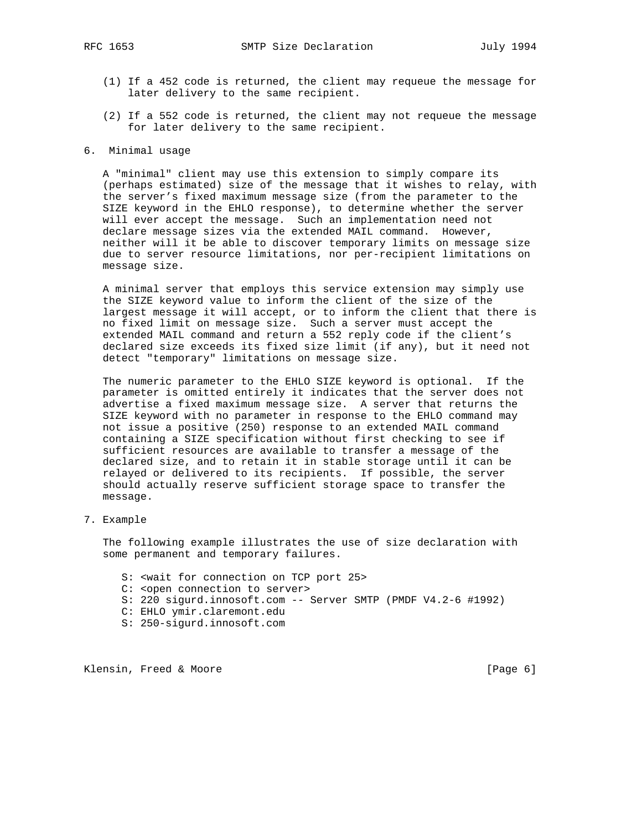- (1) If a 452 code is returned, the client may requeue the message for later delivery to the same recipient.
- (2) If a 552 code is returned, the client may not requeue the message for later delivery to the same recipient.
- 6. Minimal usage

 A "minimal" client may use this extension to simply compare its (perhaps estimated) size of the message that it wishes to relay, with the server's fixed maximum message size (from the parameter to the SIZE keyword in the EHLO response), to determine whether the server will ever accept the message. Such an implementation need not declare message sizes via the extended MAIL command. However, neither will it be able to discover temporary limits on message size due to server resource limitations, nor per-recipient limitations on message size.

 A minimal server that employs this service extension may simply use the SIZE keyword value to inform the client of the size of the largest message it will accept, or to inform the client that there is no fixed limit on message size. Such a server must accept the extended MAIL command and return a 552 reply code if the client's declared size exceeds its fixed size limit (if any), but it need not detect "temporary" limitations on message size.

 The numeric parameter to the EHLO SIZE keyword is optional. If the parameter is omitted entirely it indicates that the server does not advertise a fixed maximum message size. A server that returns the SIZE keyword with no parameter in response to the EHLO command may not issue a positive (250) response to an extended MAIL command containing a SIZE specification without first checking to see if sufficient resources are available to transfer a message of the declared size, and to retain it in stable storage until it can be relayed or delivered to its recipients. If possible, the server should actually reserve sufficient storage space to transfer the message.

7. Example

 The following example illustrates the use of size declaration with some permanent and temporary failures.

- S: <wait for connection on TCP port 25>
- C: <open connection to server>
- S: 220 sigurd.innosoft.com -- Server SMTP (PMDF V4.2-6 #1992)
- C: EHLO ymir.claremont.edu
- S: 250-sigurd.innosoft.com

Klensin, Freed & Moore [Page 6]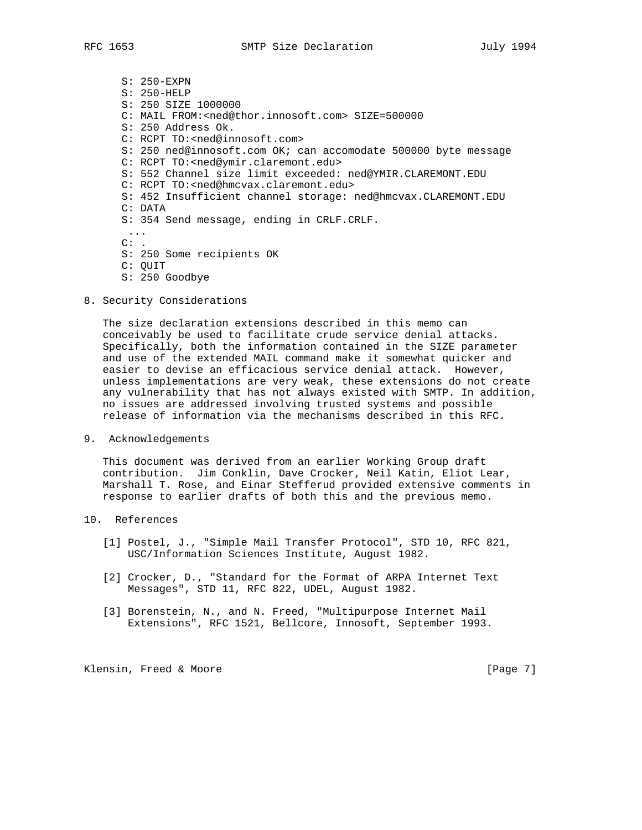- S: 250-EXPN S: 250-HELP S: 250 SIZE 1000000 C: MAIL FROM:<ned@thor.innosoft.com> SIZE=500000 S: 250 Address Ok. C: RCPT TO:<ned@innosoft.com> S: 250 ned@innosoft.com OK; can accomodate 500000 byte message C: RCPT TO:<ned@ymir.claremont.edu> S: 552 Channel size limit exceeded: ned@YMIR.CLAREMONT.EDU C: RCPT TO:<ned@hmcvax.claremont.edu> S: 452 Insufficient channel storage: ned@hmcvax.CLAREMONT.EDU C: DATA S: 354 Send message, ending in CRLF.CRLF. ...  $C:$ . S: 250 Some recipients OK C: QUIT
- S: 250 Goodbye
- 8. Security Considerations

 The size declaration extensions described in this memo can conceivably be used to facilitate crude service denial attacks. Specifically, both the information contained in the SIZE parameter and use of the extended MAIL command make it somewhat quicker and easier to devise an efficacious service denial attack. However, unless implementations are very weak, these extensions do not create any vulnerability that has not always existed with SMTP. In addition, no issues are addressed involving trusted systems and possible release of information via the mechanisms described in this RFC.

9. Acknowledgements

 This document was derived from an earlier Working Group draft contribution. Jim Conklin, Dave Crocker, Neil Katin, Eliot Lear, Marshall T. Rose, and Einar Stefferud provided extensive comments in response to earlier drafts of both this and the previous memo.

- 10. References
	- [1] Postel, J., "Simple Mail Transfer Protocol", STD 10, RFC 821, USC/Information Sciences Institute, August 1982.
	- [2] Crocker, D., "Standard for the Format of ARPA Internet Text Messages", STD 11, RFC 822, UDEL, August 1982.
	- [3] Borenstein, N., and N. Freed, "Multipurpose Internet Mail Extensions", RFC 1521, Bellcore, Innosoft, September 1993.

Klensin, Freed & Moore [Page 7]